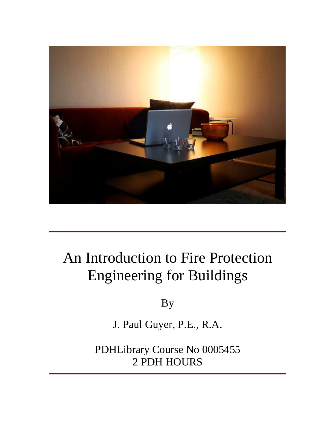

# An Introduction to Fire Protection Engineering for Buildings

By

J. Paul Guyer, P.E., R.A.

PDHLibrary Course No 0005455 2 PDH HOURS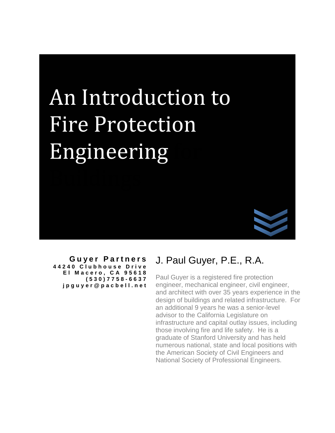# Introduction to ntroduction to<br>Protection ion to<br>on An Introd Engineering



**G u y e r P ar t n e r s 4 4 2 4 0 C l u b h o u s e D r i v e E l M a c e ro , C A 9 5 6 1 8 ( 5 3 0 ) 7 7 5 8 - 6 6 3 7 j p g u y e r [@](mailto:jpguyer@pacbell.net) p a c b e l l . n e t**

# J. Paul Guyer, P.E., R.A.

Paul Guyer is a registered fire protection engineer, mechanical engineer, civil engineer, and architect with over 35 years experience in the design of buildings and related infrastructure. For an additional 9 years he was a senior-level advisor to the California Legislature on infrastructure and capital outlay issues, including those involving fire and life safety. He is a graduate of Stanford University and has held numerous national, state and local positions with the American Society of Civil Engineers and National Society of Professional Engineers.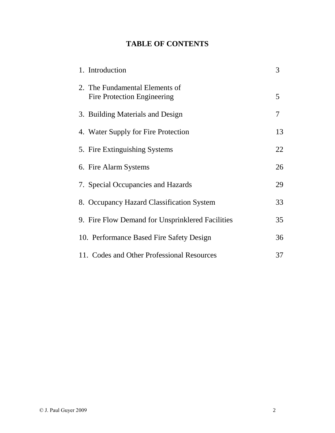## **TABLE OF CONTENTS**

| 1. Introduction                                               | 3  |
|---------------------------------------------------------------|----|
| 2. The Fundamental Elements of<br>Fire Protection Engineering | 5  |
| 3. Building Materials and Design                              | 7  |
| 4. Water Supply for Fire Protection                           | 13 |
| 5. Fire Extinguishing Systems                                 | 22 |
| 6. Fire Alarm Systems                                         | 26 |
| 7. Special Occupancies and Hazards                            | 29 |
| 8. Occupancy Hazard Classification System                     | 33 |
| 9. Fire Flow Demand for Unsprinklered Facilities              | 35 |
| 10. Performance Based Fire Safety Design                      | 36 |
| 11. Codes and Other Professional Resources                    | 37 |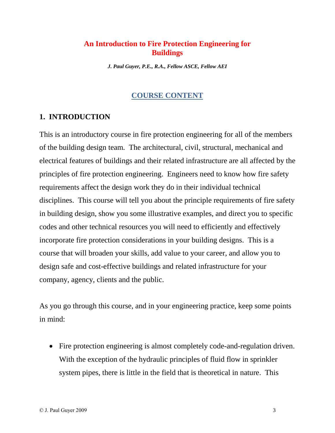#### **An Introduction to Fire Protection Engineering for Buildings**

*J. Paul Guyer, P.E., R.A., Fellow ASCE,Fellow AEI*

#### **COURSE CONTENT**

#### **1. INTRODUCTION**

This is an introductory course in fire protection engineering for all of the members of the building design team. The architectural, civil, structural, mechanical and electrical features of buildings and their related infrastructure are allaffected by the principles of fire protection engineering. Engineers need to know how fire safety requirements affect the design work they do in their individual technical disciplines. This course will tell you about the principle requirements of fire safety in building design, show you some illustrative examples, and direct you to specific codes and other technical resources you will need to efficiently and effectively incorporate fire protection considerations in your building designs. This is a course that will broaden your skills, add value to your career, and allow you to design safe and cost-effective buildings and related infrastructure for your company, agency, clients and the public.

As you go through this course, and in your engineering practice, keep some points in mind:

 Fire protection engineering is almost completely code-and-regulation driven. With the exception of the hydraulic principles of fluid flow in sprinkler system pipes, there is little in the field that is theoretical in nature. This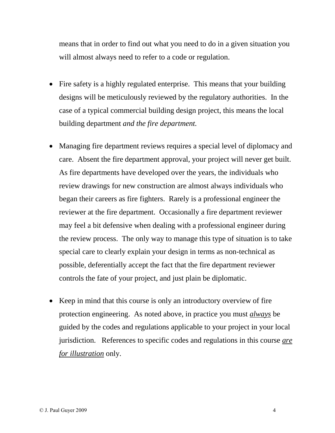means that in order to find out what you need to do in a given situation you will almost always need to refer to a code or regulation.

- Fire safety is a highly regulated enterprise. This means that your building designs will be meticulously reviewed by the regulatory authorities. In the case of a typical commercial building design project, this means the local building department *and the fire department.*
- Managing fire department reviews requires a special level of diplomacy and care. Absent the fire department approval, your project will never get built. As fire departments have developed over the years, the individuals who review drawings for new construction are almost always individuals who began their careers as fire fighters. Rarely is a professional engineer the reviewer at the fire department. Occasionally a fire department reviewer may feel a bit defensive when dealing with a professional engineer during the review process. The only way to manage this type of situation is to take special care to clearly explain your design in terms as non-technical as possible, deferentially accept the fact that the fire department reviewer controls the fate of your project, and just plain be diplomatic.
- Keep in mind that this course is only an introductory overview of fire protection engineering. As noted above, in practice you must *always* be guided by the codes and regulations applicable to your project in your local jurisdiction. References to specific codes and regulations in this course *are for illustration* only.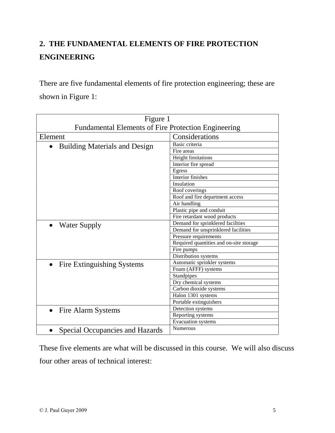# **2. THE FUNDAMENTAL ELEMENTS OF FIRE PROTECTION ENGINEERING**

There are five fundamental elements of fire protection engineering; these are shown in Figure 1:

| Figure 1                                                   |                                         |
|------------------------------------------------------------|-----------------------------------------|
| <b>Fundamental Elements of Fire Protection Engineering</b> |                                         |
| Element                                                    | Considerations                          |
| <b>Building Materials and Design</b>                       | Basic criteria                          |
|                                                            | Fire areas                              |
|                                                            | <b>Height limitations</b>               |
|                                                            | Interior fire spread                    |
|                                                            | Egress                                  |
|                                                            | Interior finishes                       |
|                                                            | Insulation                              |
|                                                            | Roof coverings                          |
|                                                            | Roof and fire department access         |
|                                                            | Air handling                            |
|                                                            | Plastic pipe and conduit                |
|                                                            | Fire retardant wood products            |
| <b>Water Supply</b>                                        | Demand for sprinklered facilities       |
|                                                            | Demand for unsprinklered facilities     |
|                                                            | Pressure requirements                   |
|                                                            | Required quantities and on-site storage |
|                                                            | Fire pumps                              |
|                                                            | Distribution systems                    |
| Fire Extinguishing Systems                                 | Automatic sprinkler systems             |
|                                                            | Foam (AFFF) systems                     |
|                                                            | Standpipes                              |
|                                                            | Dry chemical systems                    |
|                                                            | Carbon dioxide systems                  |
|                                                            | Halon 1301 systems                      |
|                                                            | Portable extinguishers                  |
| Fire Alarm Systems                                         | Detection systems                       |
|                                                            | Reporting systems                       |
|                                                            | <b>Evacuation</b> systems               |
| Special Occupancies and Hazards                            | <b>Numerous</b>                         |

These five elements are what will be discussed in this course. We will also discuss four other areas of technical interest: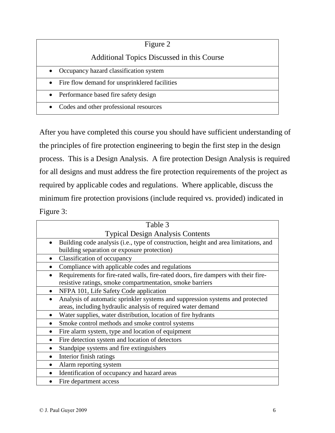| Figure 2                                            |
|-----------------------------------------------------|
| Additional Topics Discussed in this Course          |
| Occupancy hazard classification system<br>$\bullet$ |
| • Fire flow demand for unsprinklered facilities     |
| • Performance based fire safety design              |
| Codes and other professional resources              |

After you have completed this course you should have sufficient understanding of the principles of fire protection engineering to begin the first step in the design process. This is a Design Analysis. A fire protection Design Analysis is required for all designs and must address the fire protection requirements of the project as required by applicable codes and regulations. Where applicable, discuss the minimum fire protection provisions (include required vs. provided) indicated in Figure 3:

|           | Table 3                                                                                                                                         |
|-----------|-------------------------------------------------------------------------------------------------------------------------------------------------|
|           | <b>Typical Design Analysis Contents</b>                                                                                                         |
|           | Building code analysis (i.e., type of construction, height and area limitations, and<br>building separation or exposure protection)             |
|           | Classification of occupancy                                                                                                                     |
|           | Compliance with applicable codes and regulations                                                                                                |
|           | Requirements for fire-rated walls, fire-rated doors, fire dampers with their fire-<br>resistive ratings, smoke compartmentation, smoke barriers |
|           | NFPA 101, Life Safety Code application                                                                                                          |
|           | Analysis of automatic sprinkler systems and suppression systems and protected<br>areas, including hydraulic analysis of required water demand   |
|           | Water supplies, water distribution, location of fire hydrants                                                                                   |
|           | Smoke control methods and smoke control systems                                                                                                 |
|           | Fire alarm system, type and location of equipment                                                                                               |
|           | Fire detection system and location of detectors                                                                                                 |
|           | Standpipe systems and fire extinguishers                                                                                                        |
| $\bullet$ | Interior finish ratings                                                                                                                         |
|           | Alarm reporting system                                                                                                                          |
|           | Identification of occupancy and hazard areas                                                                                                    |
|           | Fire department access                                                                                                                          |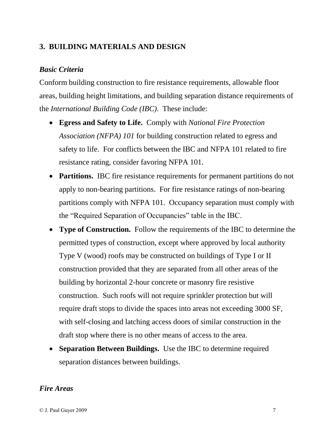#### **3. BUILDING MATERIALS AND DESIGN**

#### *Basic Criteria*

Conform building construction to fire resistance requirements, allowable floor areas, building height limitations, and building separation distance requirements of the *International Building Code (IBC)*. These include:  $\overline{a}$ 

- **Egress and Safety to Life.** Comply with *National Fire Protection Association (NFPA) 101* for building construction related to egress and safety to life. For conflicts between the IBC and NFPA 101 related to fire resistance rating, consider favoring NFPA 101.
- Partitions. IBC fire resistance requirements for permanent partitions do not apply to non-bearing partitions. For fire resistance ratings of non-bearing partitions comply with NFPA 101. Occupancy separation must comply with the "Required Separation of Occupancies" table in the IBC.
- **Type of Construction.** Follow the requirements of the IBC to determine the permitted types of construction, except where approved by local authority Type V (wood) roofs may be constructed on buildings of Type I or II construction provided that they are separated from all other areas of the building by horizontal 2-hour concrete or masonry fire resistive construction. Such roofs will not require sprinkler protection but will require draft stops to divide the spaces into areas not exceeding 3000 SF, with self-closing and latching access doors of similar construction in the draft stop where there is no other means of access to the area.
- **Separation Between Buildings.** Use the IBC to determine required separation distances between buildings.

#### *Fire Areas*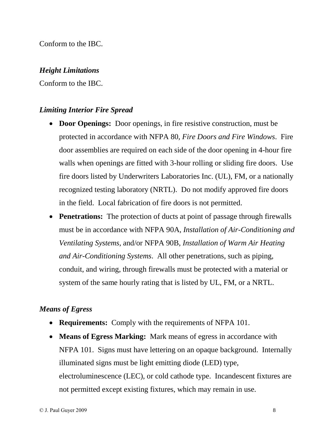Conform to the IBC.

#### *Height Limitations*

Conform to the IBC.

#### *Limiting Interior Fire Spread*

- **Door Openings:** Door openings, in fire resistive construction, must be protected in accordance with NFPA 80, *Fire Doors and Fire Windows*. Fire door assemblies are required on each side of the door opening in 4-hour fire walls when openings are fitted with 3-hour rolling or sliding fire doors. Use fire doors listed by Underwriters Laboratories Inc. (UL), FM, or a nationally recognized testing laboratory (NRTL). Do not modify approved fire doors in the field. Local fabrication of fire doors is not permitted.
- **Penetrations:** The protection of ducts at point of passage through firewalls must be in accordance with NFPA 90A, *Installation of Air-Conditioning and Ventilating Systems*, and/or NFPA 90B, *Installation of Warm Air Heating and Air-Conditioning Systems*. All other penetrations, such as piping, conduit, and wiring, through firewalls must be protected with a material or system of the same hourly rating that is listed by UL,FM, or a NRTL.

## *Means of Egress*

- **Requirements:** Comply with the requirements of NFPA 101.
- **Means of Egress Marking:** Mark means of egress in accordance with NFPA 101. Signs must have lettering on an opaque background. Internally illuminated signs must be light emitting diode (LED) type, electroluminescence (LEC), or cold cathode type. Incandescent fixtures are not permitted except existing fixtures, which may remain in use.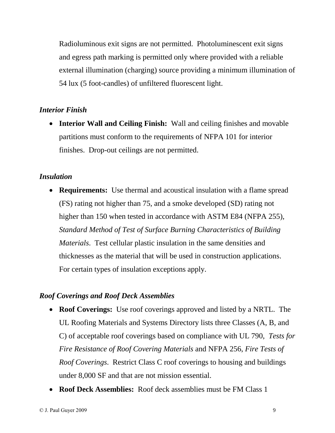Radioluminous exit signs are not permitted. Photoluminescent exit signs and egress path marking is permitted only where provided with a reliable external illumination (charging) source providing a minimum illumination of 54 lux (5 foot-candles) of unfiltered fluorescent light.

#### *Interior Finish*

 **Interior Wall and Ceiling Finish:** Wall and ceiling finishes and movable partitions must conform to the requirements of NFPA 101 for interior finishes. Drop-out ceilings are not permitted.

#### *Insulation*

 **Requirements:** Use thermal and acoustical insulation with a flame spread (FS) rating not higher than 75, and a smoke developed (SD) rating not higher than 150 when tested in accordance with ASTM E84 (NFPA 255), *Standard Method of Test of Surface Burning Characteristics of Building Materials*. Test cellular plastic insulation in the same densities and thicknesses as the material that will be used in construction applications. For certain types of insulation exceptions apply.

#### *Roof Coverings and Roof Deck Assemblies*

- **Roof Coverings:** Use roof coverings approved and listed by a NRTL. The UL Roofing Materials and Systems Directory lists three Classes (A, B, and C) of acceptable roof coverings based on compliance with UL 790, *Tests for Fire Resistance of Roof Covering Materials* and NFPA 256, *Fire Tests of Roof Coverings*. Restrict Class C roof coverings to housing and buildings under 8,000 SF and that are not mission essential.
- **Roof Deck Assemblies:** Roof deck assemblies must be FM Class 1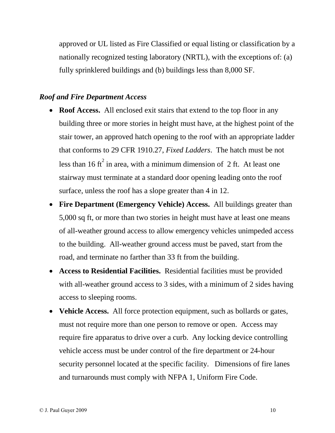approved or UL listed as Fire Classified or equal listing or classification by a nationally recognized testing laboratory (NRTL), with the exceptions of: (a) fully sprinklered buildings and (b) buildings less than 8,000 SF.

#### *Roof and Fire Department Access*

- **Roof Access.** All enclosed exit stairs that extend to the top floor in any building three or more stories in height must have, at the highest point of the stair tower, an approved hatch opening to the roof with an appropriate ladder that conforms to 29 CFR 1910.27, *Fixed Ladders*. The hatch must be not less than 16 ft<sup>2</sup> in area, with a minimum dimension of 2 ft. At least one stairway must terminate at a standard door opening leading onto the roof surface, unless the roof has <sup>a</sup> slope greater than <sup>4</sup> in 12.
- **Fire Department (Emergency Vehicle) Access.** All buildings greater than 5,000 sq ft, or more than two stories in height must have at least one means of all-weather ground access to allow emergency vehicles unimpeded access to the building. All-weather ground access must be paved, start from the road, and terminate no farther than <sup>33</sup> ft from the building.
- **Access to Residential Facilities.** Residential facilities must be provided with all-weather ground access to 3 sides, with a minimum of 2 sides having access to sleeping rooms.
- **Vehicle Access.** All force protection equipment, such as bollards or gates, must not require more than one person to remove or open. Access may require fire apparatus to drive over a curb. Any locking device controlling vehicle access must be under control of the fire department or 24-hour security personnel located at the specific facility. Dimensions of fire lanes and turnarounds must comply with NFPA 1, Uniform Fire Code.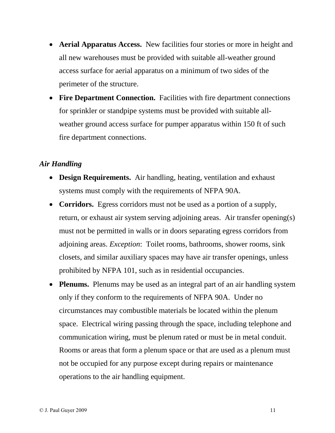- **Aerial Apparatus Access.** New facilities four stories or more in height and all new warehouses must be provided with suitable all-weather ground access surface for aerial apparatus on a minimum of two sides of the perimeter of the structure.
- **Fire Department Connection.** Facilities with fire department connections for sprinkler or standpipe systems must be provided with suitable all weather ground access surface for pumper apparatus within 150 ft of such fire department connections.

#### *Air Handling*  $\mathbb{R}^2$

- **Design Requirements.** Air handling, heating, ventilation and exhaust systems must comply with the requirements of NFPA 90A.
- **Corridors.** Egress corridors must not be used as a portion of a supply, return, or exhaust air system serving adjoining areas. Air transfer opening(s) must not be permitted in walls or in doors separating egress corridors from adjoining areas. *Exception*: Toilet rooms, bathrooms, shower rooms, sink closets, and similar auxiliary spaces may have air transfer openings, unless prohibited by NFPA 101, such as in residential occupancies.
- **Plenums.** Plenums may be used as an integral part of an air handling system only if they conform to the requirements of NFPA 90A. Under no circumstances may combustible materials be located within the plenum space. Electrical wiring passing through the space, including telephone and communication wiring, must be plenum rated or must be in metal conduit. Rooms or areas that form a plenum space or that are used as a plenum must not be occupied for any purpose except during repairs or maintenance operations to the air handling equipment.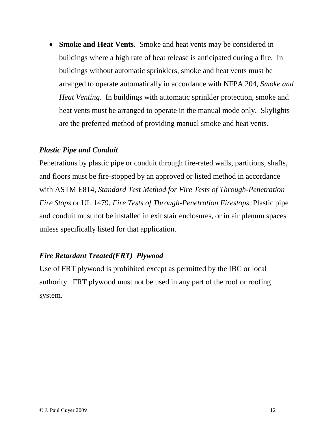**Smoke and Heat Vents.** Smoke and heat vents may be considered in buildings where a high rate of heat release is anticipated during a fire. In buildings without automatic sprinklers, smoke and heat vents must be arranged to operate automatically in accordance with NFPA 204, *Smoke and Heat Venting*. In buildings with automatic sprinkler protection, smoke and heat vents must be arranged to operate in the manual mode only. Skylights are the preferred method of providing manual smoke and heat vents.

#### *Plastic Pipe and Conduit*

Penetrations by plastic pipe or conduit through fire-rated walls, partitions, shafts, and floors must be fire-stopped by an approved or listed method in accordance with ASTM E814, *Standard Test Method for Fire Tests of Through-Penetration Fire Stops* or UL 1479, *Fire Tests of Through-Penetration Firestops*. Plastic pipe and conduit must not be installed in exit stair enclosures, or in air plenum spaces unless specifically listed for that application.

#### *Fire Retardant Treated(FRT) Plywood*

Use of FRT plywood is prohibited except as permitted by the IBC or local authority. FRT plywood must not be used in any part of the roof or roofing system.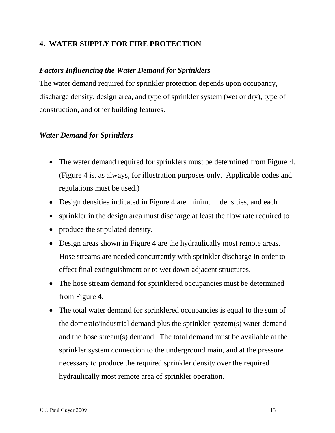#### **4. WATER SUPPLY FOR FIRE PROTECTION**

#### *Factors Influencing the Water Demand for Sprinklers*

The water demand required for sprinkler protection depends upon occupancy, discharge density, design area, and type of sprinkler system (wet or dry), type of construction, and other building features.

#### *Water Demand for Sprinklers*

- The water demand required for sprinklers must be determined from Figure 4. (Figure 4 is, as always, for illustration purposes only. Applicable codes and regulations must be used.)
- Design densities indicated in Figure 4 are minimum densities, and each
- sprinkler in the design area must discharge at least the flow rate required to
- produce the stipulated density.
- Design areas shown in Figure 4 are the hydraulically most remote areas. Hose streams are needed concurrently with sprinkler discharge in order to effect final extinguishment or to wet down adjacent structures.
- The hose stream demand for sprinklered occupancies must be determined from Figure 4.
- The total water demand for sprinklered occupancies is equal to the sum of the domestic/industrial demand plus the sprinkler system(s) water demand and the hose stream(s) demand. The total demand must be available at the sprinkler system connection to the underground main, and at the pressure necessary to produce the required sprinkler density over the required hydraulically most remote area of sprinkler operation.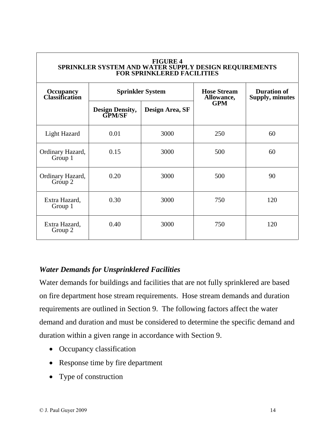|                                           |                                         | <b>FIGURE 4</b><br>SPRINKLER SYSTEM AND WATER SUPPLY DESIGN REQUIREMENTS<br><b>FOR SPRINKLERED FACILITIES</b> |                                  |                                              |
|-------------------------------------------|-----------------------------------------|---------------------------------------------------------------------------------------------------------------|----------------------------------|----------------------------------------------|
| <b>Occupancy</b><br><b>Classification</b> | <b>Sprinkler System</b>                 |                                                                                                               | <b>Hose Stream</b><br>Allowance, | <b>Duration of</b><br><b>Supply, minutes</b> |
|                                           | <b>Design Density,</b><br><b>GPM/SF</b> | Design Area, SF                                                                                               | <b>GPM</b>                       |                                              |
| Light Hazard                              | 0.01                                    | 3000                                                                                                          | 250                              | 60                                           |
| Ordinary Hazard,<br>Group 1               | 0.15                                    | 3000                                                                                                          | 500                              | 60                                           |
| Ordinary Hazard,<br>Group 2               | 0.20                                    | 3000                                                                                                          | 500                              | 90                                           |
| Extra Hazard,<br>Group 1                  | 0.30                                    | 3000                                                                                                          | 750                              | 120                                          |
| Extra Hazard,<br>Group 2                  | 0.40                                    | 3000                                                                                                          | 750                              | 120                                          |

#### *Water Demands for Unsprinklered Facilities*

Water demands for buildings and facilities that are not fully sprinklered are based on fire department hose stream requirements. Hose stream demands and duration requirements are outlined in Section 9. The following factors affect the water demand and duration and must be considered to determine the specific demand and duration within <sup>a</sup> given range in accordance with Section 9.

- Occupancy classification
- Response time by fire department
- Type of construction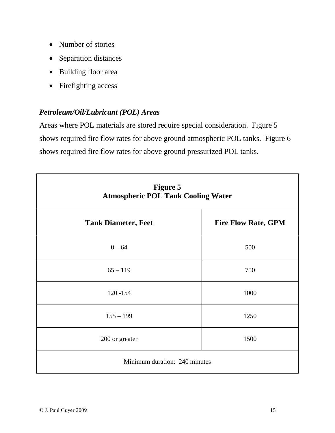- Number of stories
- Separation distances
- Building floor area
- Firefighting access

#### *Petroleum/Oil/Lubricant (POL) Areas*

Areas where POL materials are stored require special consideration. Figure 5 shows required fire flow rates for above ground atmospheric POL tanks. Figure 6 shows required fire flow rates for above ground pressurized POL tanks.

| <b>Figure 5</b><br><b>Atmospheric POL Tank Cooling Water</b> |                            |  |
|--------------------------------------------------------------|----------------------------|--|
| <b>Tank Diameter, Feet</b>                                   | <b>Fire Flow Rate, GPM</b> |  |
| $0 - 64$                                                     | 500                        |  |
| $65 - 119$                                                   | 750                        |  |
| $120 - 154$                                                  | 1000                       |  |
| $155 - 199$                                                  | 1250                       |  |
| 200 or greater                                               | 1500                       |  |
| Minimum duration: 240 minutes                                |                            |  |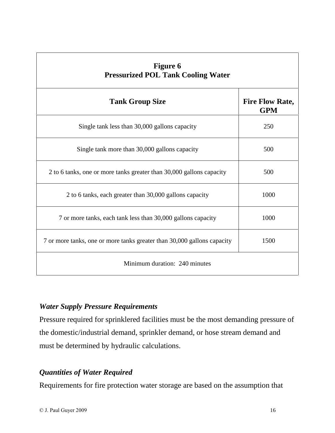| <b>Figure 6</b><br><b>Pressurized POL Tank Cooling Water</b>            |                                      |  |
|-------------------------------------------------------------------------|--------------------------------------|--|
| <b>Tank Group Size</b>                                                  | <b>Fire Flow Rate,</b><br><b>GPM</b> |  |
| Single tank less than 30,000 gallons capacity                           | 250                                  |  |
| Single tank more than 30,000 gallons capacity                           | 500                                  |  |
| 2 to 6 tanks, one or more tanks greater than 30,000 gallons capacity    | 500                                  |  |
| 2 to 6 tanks, each greater than 30,000 gallons capacity                 | 1000                                 |  |
| 7 or more tanks, each tank less than 30,000 gallons capacity            | 1000                                 |  |
| 7 or more tanks, one or more tanks greater than 30,000 gallons capacity | 1500                                 |  |
| Minimum duration: 240 minutes                                           |                                      |  |

#### *Water Supply Pressure Requirements*

Pressure required for sprinklered facilities must be the most demanding pressure of the domestic/industrial demand, sprinkler demand, or hose stream demand and must be determined by hydraulic calculations.

## *Quantities of Water Required*

Requirements for fire protection water storage are based on the assumption that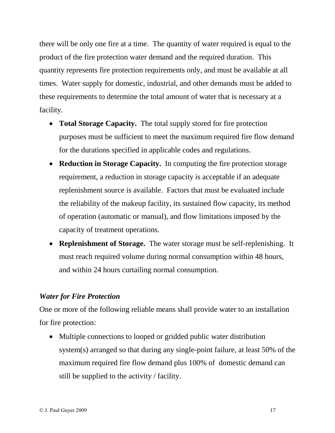there will be only one fire at a time. The quantity of water required is equal to the product of the fire protection water demand and the required duration. This quantity represents fire protection requirements only, and must be available at all times. Water supply for domestic, industrial, and other demands must be added to these requirements to determine the total amount of water that is necessary at a facility.

- **Total Storage Capacity.** The total supply stored for fire protection purposes must be sufficient to meet the maximum required fire flow demand for the durations specified in applicable codes and regulations.
- **Reduction in Storage Capacity.** In computing the fire protection storage requirement, a reduction in storage capacity is acceptable if an adequate replenishment source is available. Factors that must be evaluated include the reliability of the makeup facility, its sustained flow capacity, its method of operation (automatic or manual), and flow limitations imposed by the capacity of treatment operations.
- **Replenishment of Storage.** The water storage must be self-replenishing. It must reach required volume during normal consumption within 48 hours, and within 24 hours curtailing normal consumption.

#### *Water for Fire Protection*

One or more of the following reliable means shall provide water to an installation for fire protection:  $\overline{a}$ 

 Multiple connections to looped or gridded public water distribution system(s) arranged so that during any single-point failure, at least 50% of the maximum required fire flow demand plus 100% of domestic demand can still be supplied to the activity / facility.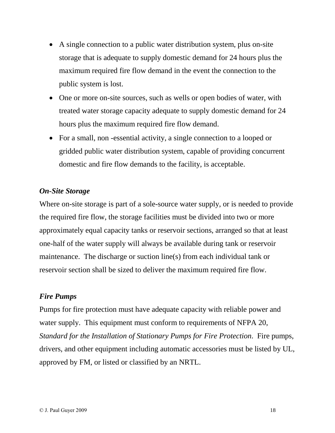- A single connection to a public water distribution system, plus on-site storage that is adequate to supply domestic demand for 24 hours plus the maximum required fire flow demand in the event the connection to the public system is lost.
- One or more on-site sources, such as wells or open bodies of water, with treated water storage capacity adequate to supply domestic demand for 24 hours plus the maximum required fire flow demand.
- For a small, non-essential activity, a single connection to a looped or gridded public water distribution system, capable of providing concurrent domestic and fire flow demands to the facility, is acceptable.

#### *On-Site Storage*

Where on-site storage is part of a sole-source water supply, or is needed to provide the required fire flow, the storage facilities must be divided into two or more approximately equal capacity tanks or reservoir sections, arranged so that at least one-half of the water supply will always be available during tank or reservoir maintenance. The discharge or suction line(s) from each individual tank or reservoir section shall be sized to deliver the maximum required fire flow.

#### *Fire Pumps*

Pumps for fire protection must have adequate capacity with reliable power and water supply. This equipment must conform to requirements of NFPA 20, *Standard for the Installation of Stationary Pumps for Fire Protection*. Fire pumps, drivers, and other equipment including automatic accessories must be listed by UL, approved by FM, or listed or classified by an NRTL.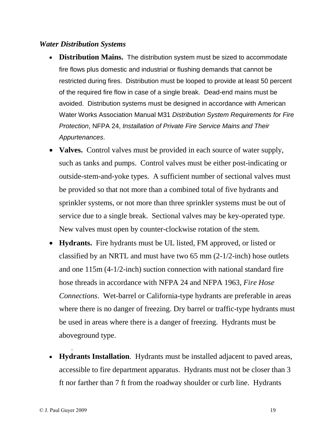#### *Water Distribution Systems*

- **Distribution Mains.** The distribution system must be sized to accommodate fire flows plus domestic and industrial or flushing demands that cannot be restricted during fires. Distribution must be looped to provide at least 50 percent of the required fire flow in case of a single break. Dead-end mains must be avoided. Distribution systems must be designed in accordance with American Water Works Association Manual M31 Distribution System Requirements for Fire Protection, NFPA 24, Installation of Private Fire Service Mains and Their Appurtenances.
- **Valves.** Control valves must be provided in each source of water supply, such as tanks and pumps. Control valves must be either post-indicating or outside-stem-and-yoke types. A sufficient number of sectional valves must be provided so that not more than a combined total of five hydrants and sprinkler systems, or not more than three sprinkler systems must be out of service due to a single break. Sectional valves may be key-operated type. New valves must open by counter-clockwise rotation of the stem.
- **Hydrants.** Fire hydrants must be UL listed,FM approved, or listed or classified by an NRTL and must have two 65 mm (2-1/2-inch) hose outlets and one 115m (4-1/2-inch) suction connection with national standard fire hose threads in accordance with NFPA 24 and NFPA 1963, *Fire Hose Connections*. Wet-barrel or California-type hydrants are preferable in areas where there is no danger of freezing. Dry barrel or traffic-type hydrants must be used in areas where there is a danger of freezing. Hydrants must be aboveground type.  $\frac{1}{2}$ .
- **Hydrants Installation**. Hydrants must be installed adjacent to paved areas, accessible to fire department apparatus. Hydrants must not be closer than 3 ft nor farther than 7 ft from the roadway shoulder or curb line. Hydrants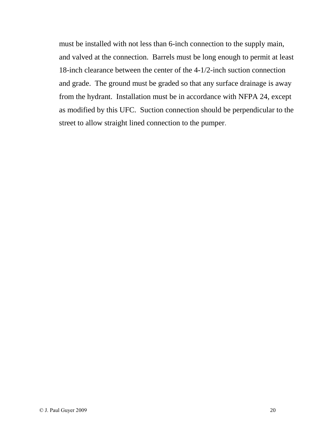must be installed with not less than 6-inch connection to the supply main, and valved at the connection. Barrels must be long enough to permit at least 18-inch clearance between the center of the 4-1/2-inch suction connection and grade. The ground must be graded so that any surface drainage is away from the hydrant. Installation must be in accordance with NFPA 24, except as modified by this UFC. Suction connection should be perpendicular to the street to allow straight lined connection to the pumper.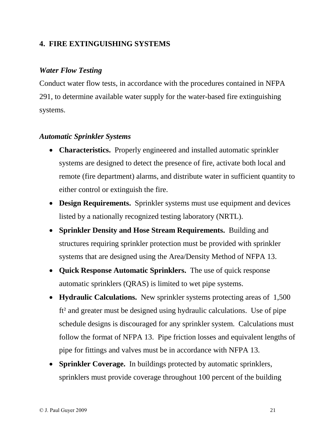#### **4. FIRE EXTINGUISHING SYSTEMS**

#### *Water Flow Testing*

Conduct water flow tests, in accordance with the procedures contained in NFPA 291, to determine available water supply for the water-based fire extinguishing systems.

#### *Automatic Sprinkler Systems*  $\mathbf{r}$

- **Characteristics.** Properly engineered and installed automatic sprinkler systems are designed to detect the presence of fire, activate both local and remote (fire department) alarms, and distribute water in sufficient quantity to either control or extinguish the fire.
- **Design Requirements.** Sprinkler systems must use equipment and devices listed by <sup>a</sup> nationally recognized testing laboratory (NRTL).
- **Sprinkler Density and Hose Stream Requirements.** Building and structures requiring sprinkler protection must be provided with sprinkler systems that are designed using the Area/Density Method of NFPA 13.
- **Quick Response Automatic Sprinklers.** The use of quick response automatic sprinklers (QRAS) is limited to wet pipe systems.
- **Hydraulic Calculations.** New sprinkler systems protecting areas of 1,500 Hydraulic Calculations. New sprinkler systems protecting areas of 1,500<br>ft<sup>2</sup> and greater must be designed using hydraulic calculations. Use of pipe schedule designs is discouraged for any sprinkler system. Calculations must follow the format of NFPA 13. Pipe friction losses and equivalent lengths of pipe for fittings and valves must be in accordance with NFPA 13.
- **Sprinkler Coverage.** In buildings protected by automatic sprinklers, sprinklers must provide coverage throughout 100 percent of the building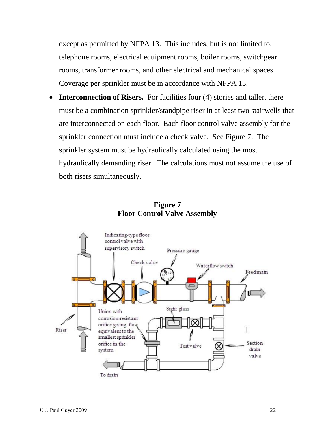except as permitted by NFPA 13. This includes, but is not limited to, telephone rooms, electrical equipment rooms, boiler rooms, switchgear rooms, transformer rooms, and other electrical and mechanical spaces. Coverage per sprinkler must be in accordance with NFPA 13.

**Interconnection of Risers.** For facilities four (4) stories and taller, there must be a combination sprinkler/standpipe riser in at least two stairwells that are interconnected on each floor. Each floor control valve assembly for the sprinkler connection must include a check valve. See Figure 7. The sprinkler system must be hydraulically calculated using the most hydraulically demanding riser. The calculations must not assume the use of both risers simultaneously.



#### **Figure 7 Floor Control Valve Assembly**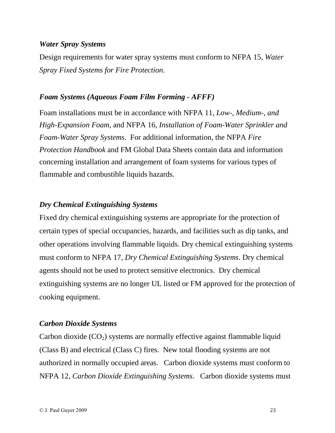#### *Water Spray Systems*

Design requirements for water spray systems must conform to NFPA 15, *Water Spray Fixed Systems for Fire Protection*.

#### *Foam Systems (Aqueous Foam Film Forming - AFFF)*

Foam installations must be in accordance with NFPA 11, *Low-, Medium-, and High-Expansion Foam,* and NFPA 16, *Installation of Foam-Water Sprinkler and Foam-Water Spray Systems*. For additional information, the NFPA *Fire Protection Handbook* and FM Global Data Sheets contain data and information concerning installation and arrangement of foam systems for various types of flammable and combustible liquids hazards.

#### *Dry Chemical Extinguishing Systems*

Fixed dry chemical extinguishing systems are appropriate for the protection of certain types of special occupancies, hazards, and facilities such as dip tanks, and other operations involving flammable liquids. Dry chemical extinguishing systems must conform to NFPA 17, *Dry Chemical Extinguishing Systems*. Dry chemical agents should not be used to protect sensitive electronics. Dry chemical extinguishing systems are no longer UL listed or FM approved for the protection of cooking equipment.

#### *Carbon Dioxide Systems*

Carbon dioxide  $(CO_2)$  systems are normally effective against flammable liquid (Class B) and electrical (Class C) fires. New total flooding systems are not authorized in normally occupied areas. Carbon dioxide systems must conform to NFPA 12, *Carbon Dioxide Extinguishing Systems*. Carbon dioxide systems must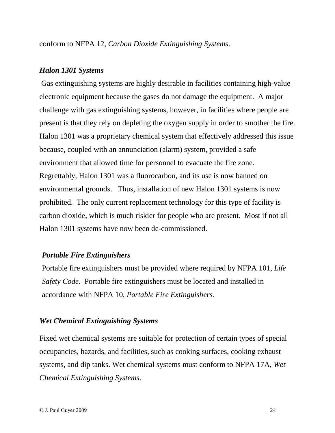conform to NFPA 12, *Carbon Dioxide Extinguishing Systems*.

#### *Halon 1301 Systems*

Gas extinguishing systems are highly desirable in facilities containing high-value electronic equipment because the gases do not damage the equipment. A major challenge with gas extinguishing systems, however, in facilities where people are present is that they rely on depleting the oxygen supply in order to smother the fire. Halon 1301 was a proprietary chemical system that effectively addressed this issue because, coupled with an annunciation (alarm) system, provided a safe environment that allowed time for personnel to evacuate the fire zone. Regrettably, Halon 1301 was a fluorocarbon, and its use is now banned on environmental grounds. Thus, installation of new Halon 1301 systems is now prohibited. The only current replacement technology for this type of facility is carbon dioxide, which is much riskier for people who are present. Most if not all Halon 1301 systems have now been de-commissioned.

#### *Portable Fire Extinguishers*

Portable fire extinguishers must be provided where required by NFPA 101, *Life Safety Code*. Portable fire extinguishers must be located and installed in accordance with NFPA 10, *Portable Fire Extinguishers*.

#### *Wet Chemical Extinguishing Systems*

Fixed wet chemical systems are suitable for protection of certain types of special occupancies, hazards, and facilities, such as cooking surfaces, cooking exhaust systems, and dip tanks. Wet chemical systems must conform to NFPA 17A, *Wet Chemical Extinguishing Systems*.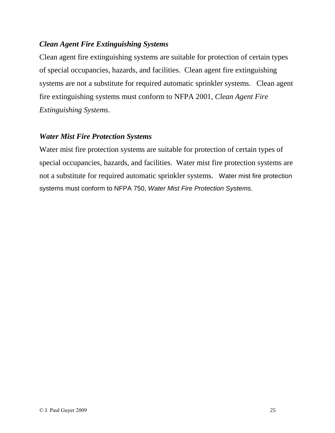#### *Clean Agent Fire Extinguishing Systems*

Clean agent fire extinguishing systems are suitable for protection of certain types of special occupancies, hazards, and facilities. Clean agent fire extinguishing systems are not a substitute for required automatic sprinkler systems. Clean agent fire extinguishing systems must conform to NFPA 2001, *Clean Agent Fire Extinguishing Systems*.

#### *Water Mist Fire Protection Systems*

Water mist fire protection systems are suitable for protection of certain types of special occupancies, hazards, and facilities. Water mist fire protection systems are not a substitute for required automatic sprinkler systems. Water mist fire protection systems must conform to NFPA 750, Water Mist Fire Protection Systems.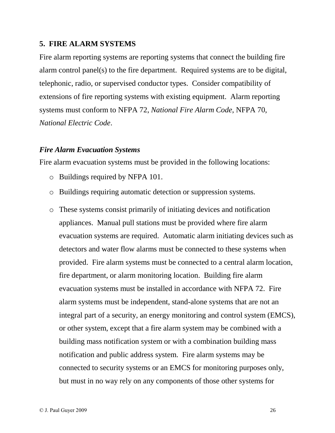#### **5. FIRE ALARM SYSTEMS**

Fire alarm reporting systems are reporting systems that connect the building fire alarm control panel(s) to the fire department. Required systems are to be digital, telephonic, radio, or supervised conductor types. Consider compatibility of extensions of fire reporting systems with existing equipment. Alarm reporting systems must conform to NFPA 72, *National Fire Alarm Code*, NFPA 70, *National Electric Code*.

#### *Fire Alarm Evacuation Systems*

Fire alarm evacuation systems must be provided in the following locations:

- o Buildings required by NFPA 101.
- o Buildings requiring automatic detection or suppression systems.
- o These systems consist primarily of initiating devices and notification appliances. Manual pull stations must be provided where fire alarm evacuation systems are required. Automatic alarm initiating devices such as detectors and water flow alarms must be connected to these systems when provided. Fire alarm systems must be connected to a central alarm location, fire department, or alarm monitoring location. Building fire alarm evacuation systems must be installed in accordance with NFPA 72. Fire alarm systems must be independent, stand-alone systems that are not an integral part of a security, an energy monitoring and control system (EMCS), or other system, except that a fire alarm system may be combined with a building mass notification system or with a combination building mass notification and public address system. Fire alarm systems may be connected to security systems or an EMCS for monitoring purposes only, but must in no way rely on any components of those other systems for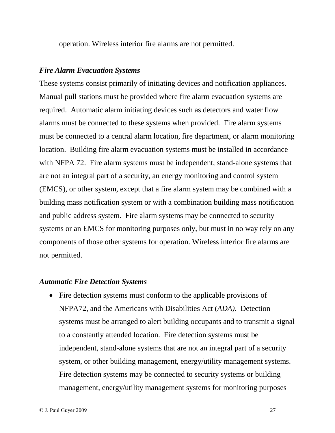operation. Wireless interior fire alarms are not permitted.

#### *Fire Alarm Evacuation Systems*

These systems consist primarily of initiating devices and notification appliances. Manual pull stations must be provided where fire alarm evacuation systems are required. Automatic alarm initiating devices such as detectors and water flow alarms must be connected to these systems when provided. Fire alarm systems must be connected to a central alarm location, fire department, or alarm monitoring location. Building fire alarm evacuation systems must be installed in accordance with NFPA 72. Fire alarm systems must be independent, stand-alone systems that are not an integral part of a security, an energy monitoring and control system (EMCS), or other system, except that a fire alarm system may be combined with a building mass notification system or with a combination building mass notification and public address system. Fire alarm systems may be connected to security systems or an EMCS for monitoring purposes only, but must in no way rely on any components of those other systems for operation. Wireless interior fire alarms are not permitted.

#### *Automatic Fire Detection Systems*  $\mathbf{r}$

• Fire detection systems must conform to the applicable provisions of NFPA72, and the Americans with Disabilities Act (*ADA)*. Detection systems must be arranged to alert building occupants and to transmit a signal to a constantly attended location. Fire detection systems must be independent, stand-alone systems that are not an integral part of a security system, or other building management, energy/utility management systems. Fire detection systems may be connected to security systems or building management, energy/utility management systems for monitoring purposes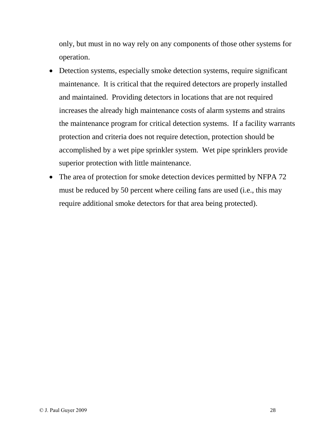only, but must in no way rely on any components of those other systems for operation.

- Detection systems, especially smoke detection systems, require significant maintenance. It is critical that the required detectors are properly installed and maintained. Providing detectors in locations that are not required increases the already high maintenance costs of alarm systems and strains the maintenance program for critical detection systems. If a facility warrants protection and criteria does not require detection, protection should be accomplished by a wet pipe sprinkler system. Wet pipe sprinklers provide superior protection with little maintenance.
- The area of protection for smoke detection devices permitted by NFPA 72 must be reduced by 50 percent where ceiling fans are used (i.e., this may require additional smoke detectors for that area being protected).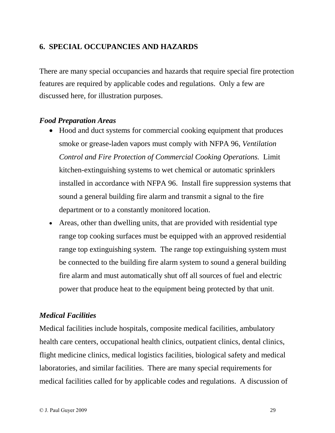#### **6. SPECIAL OCCUPANCIES AND HAZARDS**

There are many special occupancies and hazards that require special fire protection features are required by applicable codes and regulations. Only a few are discussed here, for illustration purposes.

#### *Food Preparation Areas*

- Hood and duct systems for commercial cooking equipment that produces smoke or grease-laden vapors must comply with NFPA 96, *Ventilation Control and Fire Protection of Commercial Cooking Operations.* Limit kitchen-extinguishing systems to wet chemical or automatic sprinklers installed in accordance with NFPA 96. Install fire suppression systems that sound a general building fire alarm and transmit a signal to the fire department or to a constantly monitored location.
- Areas, other than dwelling units, that are provided with residential type range top cooking surfaces must be equipped with an approved residential range top extinguishing system. The range top extinguishing system must be connected to the building fire alarm system to sound a general building fire alarm and must automatically shut off all sources of fuel and electric power that produce heat to the equipment being protected by that unit.

#### *Medical Facilities*

Medical facilities include hospitals, composite medical facilities, ambulatory health care centers, occupational health clinics, outpatient clinics, dental clinics, flight medicine clinics, medical logistics facilities, biological safety and medical laboratories, and similar facilities. There are many special requirements for medical facilities called for by applicable codes and regulations. A discussion of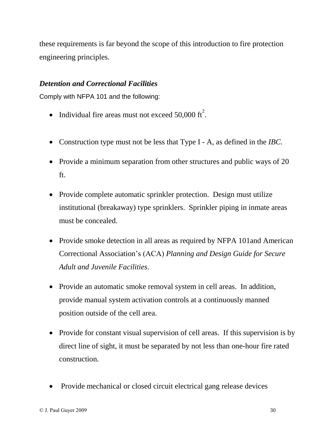these requirements is far beyond the scope of this introduction to fire protection engineering principles.

#### *Detention and Correctional Facilities*

Comply with NFPA 101 and the following:

- Individual fire areas must not exceed 50,000  $\text{ft}^2$ .
- Construction type must not be less that Type I A, as defined in the *IBC.*
- Provide a minimum separation from other structures and public ways of 20 ft.
- Provide complete automatic sprinkler protection. Design must utilize institutional (breakaway) type sprinklers. Sprinkler piping in inmate areas must be concealed.
- Provide smoke detection in all areas as required by NFPA 101 and American Correctional Associationís (ACA) *Planning and Design Guide for Secure Adult and Juvenile Facilities*.
- Provide an automatic smoke removal system in cell areas. In addition, provide manual system activation controls at a continuously manned position outside of the cell area.
- Provide for constant visual supervision of cell areas. If this supervision is by direct line of sight, it must be separated by not less than one-hour fire rated construction.
- Provide mechanical or closed circuit electrical gang release devices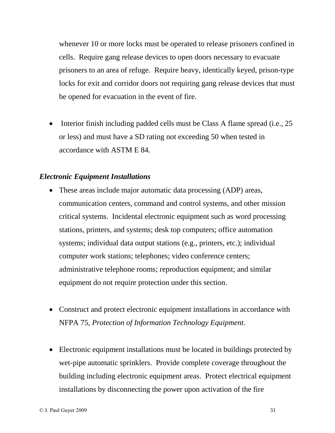whenever 10 or more locks must be operated to release prisoners confined in cells. Require gang release devices to open doors necessary to evacuate prisoners to an area of refuge. Require heavy, identically keyed, prison-type locks for exit and corridor doors not requiring gang release devices that must be opened for evacuation in the event of fire.

• Interior finish including padded cells must be Class A flame spread (i.e.,  $25$ ) or less) and must have a SD rating not exceeding 50 when tested in accordance with ASTM E 84.

#### *Electronic Equipment Installations*

- These areas include major automatic data processing (ADP) areas, communication centers, command and control systems, and other mission critical systems. Incidental electronic equipment such as word processing stations, printers, and systems; desk top computers; office automation systems; individual data output stations (e.g., printers, etc.); individual computer work stations; telephones; video conference centers; administrative telephone rooms; reproduction equipment; and similar equipment do not require protection under this section.
- Construct and protect electronic equipment installations in accordance with NFPA 75, *Protection of Information Technology Equipment*.
- Electronic equipment installations must be located in buildings protected by wet-pipe automatic sprinklers. Provide complete coverage throughout the building including electronic equipment areas. Protect electrical equipment installations by disconnecting the power upon activation of the fire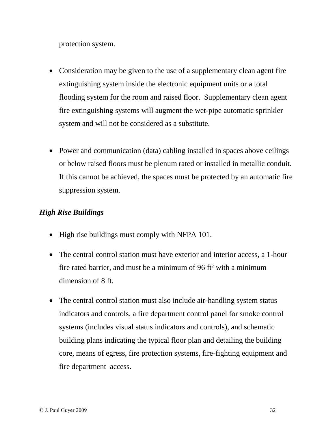protection system.

- Consideration may be given to the use of a supplementary clean agent fire extinguishing system inside the electronic equipment units or a total flooding system for the room and raised floor. Supplementary clean agent fire extinguishing systems will augment the wet-pipe automatic sprinkler system and will not be considered as a substitute.
- Power and communication (data) cabling installed in spaces above ceilings or below raised floors must be plenum rated or installed in metallic conduit. If this cannot be achieved, the spaces must be protected by an automatic fire suppression system.

# *High Rise Buildings*

- High rise buildings must comply with NFPA 101.
- The central control station must have exterior and interior access, a 1-hour The central control station must have exterior and interior access, a 1-hour<br>fire rated barrier, and must be a minimum of 96 ft<sup>2</sup> with a minimum dimension of 8 ft.
- The central control station must also include air-handling system status indicators and controls, a fire department control panel for smoke control systems (includes visual status indicators and controls), and schematic building plans indicating the typical floor plan and detailing the building core, means of egress, fire protection systems, fire-fighting equipment and fire department access.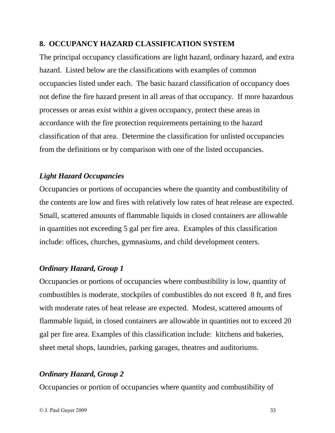#### **8. OCCUPANCY HAZARD CLASSIFICATION SYSTEM**

The principal occupancy classifications are light hazard, ordinary hazard, and extra hazard. Listed below are the classifications with examples of common occupancies listed under each. The basic hazard classification of occupancy does not define the fire hazard present in all areas of that occupancy. If more hazardous processes or areas exist within a given occupancy, protect these areas in accordance with the fire protection requirements pertaining to the hazard classification of that area. Determine the classification for unlisted occupancies from the definitions or by comparison with one of the listed occupancies.

#### *Light Hazard Occupancies*

Occupancies or portions of occupancies where the quantity and combustibility of the contents are low and fires with relatively low rates of heat release are expected. Small, scattered amounts of flammable liquids in closed containers are allowable in quantities not exceeding 5 gal per fire area. Examples of this classification include: offices, churches, gymnasiums, and child development centers.

#### *Ordinary Hazard, Group 1*

Occupancies or portions of occupancies where combustibility is low, quantity of combustibles is moderate, stockpiles of combustibles do not exceed 8 ft, and fires with moderate rates of heat release are expected. Modest, scattered amounts of flammable liquid, in closed containers are allowable in quantities not to exceed 20 gal per fire area. Examples of this classification include: kitchens and bakeries, sheet metal shops, laundries, parking garages, theatres and auditoriums.

#### *Ordinary Hazard, Group 2*

Occupancies or portion of occupancies where quantity and combustibility of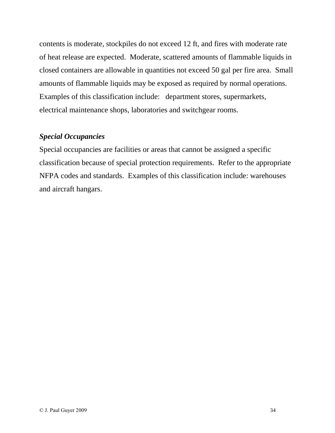contents is moderate, stockpiles do not exceed 12 ft, and fires with moderate rate of heat release are expected. Moderate, scattered amounts of flammable liquids in closed containers are allowable in quantities not exceed 50 gal per fire area. Small amounts of flammable liquids may be exposed as required by normal operations. Examples of this classification include: department stores, supermarkets, electrical maintenance shops, laboratories and switchgear rooms.

#### *Special Occupancies*

Special occupancies are facilities or areas that cannot be assigned a specific classification because of special protection requirements. Refer to the appropriate NFPA codes and standards. Examples of this classification include: warehouses and aircraft hangars.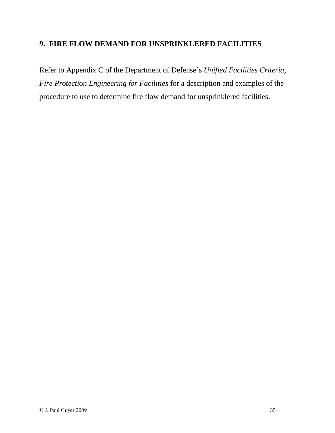#### **9. FIRE FLOW DEMAND FOR UNSPRINKLERED FACILITIES**

Refer to Appendix C of the Department of Defense's *Unified Facilities Criteria*, *Fire Protection Engineering for Facilities* for a description and examples of the procedure to use to determine fire flow demand for unsprinklered facilities.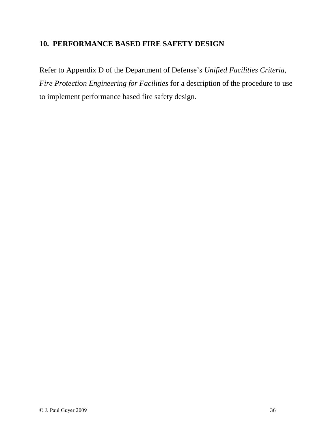#### **10. PERFORMANCE BASED FIRE SAFETY DESIGN**

Refer to Appendix D of the Department of Defense's *Unified Facilities Criteria*, *Fire Protection Engineering for Facilities* for a description of the procedure to use to implement performance based fire safety design.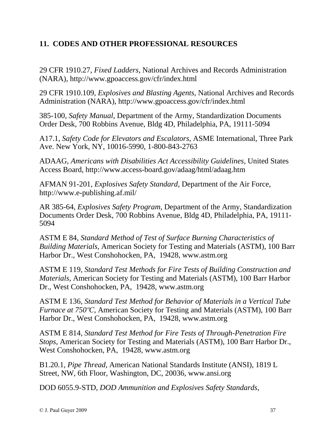#### **11. CODES AND OTHER PROFESSIONAL RESOURCES**

29 CFR 1910.27, *Fixed Ladders*, National Archives and Records Administration (NARA), <http://www.gpoaccess.gov/cfr/index.html>

29 CFR 1910.109, *Explosives and Blasting Agents*, National Archives and Records Administration (NARA), <http://www.gpoaccess.gov/cfr/index.html>

385-100, *Safety Manual*, Department of the Army, Standardization Documents Order Desk, 700 Robbins Avenue, Bldg 4D, Philadelphia, PA, 19111-5094

A17.1, *Safety Code for Elevators and Escalators*, ASME International, Three Park Ave. New York, NY, 10016-5990, 1-800-843-2763

ADAAG, *Americans with Disabilities Act Accessibility Guidelines*, United States Access Board, <http://www.access-board.gov/adaag/html/adaag.htm>

AFMAN 91-201, *Explosives Safety Standard*, Department of the Air Force, <http://www.e-publishing.af.mil/>

AR 385-64, *Explosives Safety Program*, Department of the Army, Standardization Documents Order Desk, 700 Robbins Avenue, Bldg 4D, Philadelphia, PA, 19111- 5094

ASTM E 84, *Standard Method of Test of Surface Burning Characteristics of Building Materials*, American Society for Testing and Materials (ASTM), 100 Barr Harbor Dr., West Conshohocken, PA, 19428, [www.astm.org](http://www.astm.org)

ASTM E 119, *Standard Test Methods for Fire Tests of Building Construction and Materials*, American Society for Testing and Materials (ASTM), 100 Barr Harbor Dr., West Conshohocken, PA, 19428, [www.astm.org](http://www.astm.org)

ASTM E 136, *Standard Test Method for Behavior of Materials in a Vertical Tube Furnace at <sup>750</sup>ºC*, American Society for Testing and Materials (ASTM), <sup>100</sup> Barr Harbor Dr., West Conshohocken, PA, 19428, [www.astm.org](http://www.astm.org)

ASTM E 814, *Standard Test Method for Fire Tests of Through-Penetration Fire Stops*, American Society for Testing and Materials (ASTM), 100 Barr Harbor Dr., West Conshohocken, PA, 19428, [www.astm.org](http://www.astm.org)

B1.20.1, *Pipe Thread*, American National Standards Institute (ANSI), 1819 L Street, NW, 6th Floor, Washington, DC, 20036, [www.ansi.org](http://www.ansi.org)

DOD 6055.9-STD, *DOD Ammunition and Explosives Safety Standards*,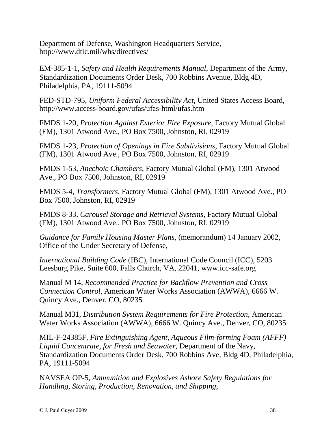Department of Defense, Washington Headquarters Service, <http://www.dtic.mil/whs/directives/>

EM-385-1-1, *Safety and Health Requirements Manual*, Department of the Army, Standardization Documents Order Desk, 700 Robbins Avenue, Bldg 4D, Philadelphia, PA, 19111-5094

FED-STD-795, *Uniform Federal Accessibility Act*, United States Access Board, <http://www.access-board.gov/ufas/ufas-html/ufas.htm>

FMDS 1-20, *Protection Against Exterior Fire Exposure*, Factory Mutual Global (FM), 1301 Atwood Ave., PO Box 7500, Johnston, RI, 02919

FMDS 1-23, *Protection of Openings in Fire Subdivisions*, Factory Mutual Global (FM), 1301 Atwood Ave., PO Box 7500, Johnston, RI, 02919

FMDS 1-53, *Anechoic Chambers*, Factory Mutual Global (FM), 1301 Atwood Ave., PO Box 7500, Johnston, RI, 02919

FMDS 5-4, *Transformers*, Factory Mutual Global (FM), 1301 Atwood Ave., PO Box 7500, Johnston, RI, 02919

FMDS 8-33, *Carousel Storage and Retrieval Systems*, Factory Mutual Global (FM), 1301 Atwood Ave., PO Box 7500, Johnston, RI, 02919

*Guidance for Family Housing Master Plans*, (memorandum) 14 January 2002, Office of the Under Secretary of Defense,

*International Building Code* (IBC), International Code Council (ICC), 5203 Leesburg Pike, Suite 600, Falls Church, VA, 22041, [www.icc-safe.org](http://www.icc-safe.org)

Manual M 14, *Recommended Practice for Backflow Prevention and Cross Connection Control*, American Water Works Association (AWWA), 6666 W. Quincy Ave., Denver, CO, 80235

Manual M31, *Distribution System Requirements for Fire Protection*, American Water Works Association (AWWA), 6666 W. Quincy Ave., Denver, CO, 80235

MIL-F-24385F, *Fire Extinguishing Agent, Aqueous Film-forming Foam (AFFF) Liquid Concentrate, for Fresh and Seawater*, Department of the Navy, Standardization Documents Order Desk, 700 Robbins Ave, Bldg 4D, Philadelphia, PA, 19111-5094

NAVSEA OP-5, *Ammunition and Explosives Ashore Safety Regulations for Handling, Storing, Production, Renovation, and Shipping*,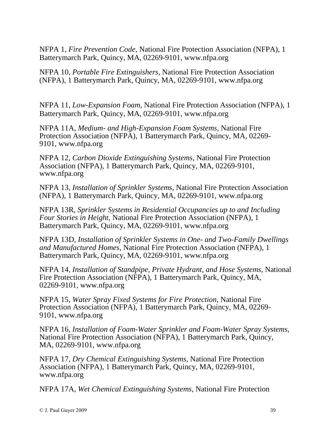NFPA 1, *Fire Prevention Code*, National Fire Protection Association (NFPA), 1 Batterymarch Park, Quincy, MA, 02269-9101, [www.nfpa.org](http://www.nfpa.org)

NFPA 10, *Portable Fire Extinguishers*, National Fire Protection Association (NFPA), 1 Batterymarch Park, Quincy, MA, 02269-9101, [www.nfpa.org](http://www.nfpa.org)

NFPA 11, *Low-Expansion Foam*, National Fire Protection Association (NFPA), 1 Batterymarch Park, Quincy, MA, 02269-9101, [www.nfpa.org](http://www.nfpa.org)

NFPA 11A, *Medium- and High-Expansion Foam Systems*, National Fire Protection Association (NFPA), 1 Batterymarch Park, Quincy, MA, 02269- 9101, [www.nfpa.org](http://www.nfpa.org)

NFPA 12, *Carbon Dioxide Extinguishing Systems*, National Fire Protection Association (NFPA), <sup>1</sup> Batterymarch Park, Quincy, MA, 02269-9101, [www.nfpa.org](http://www.nfpa.org)

NFPA 13, *Installation of Sprinkler Systems*, National Fire Protection Association (NFPA), 1 Batterymarch Park, Quincy, MA, 02269-9101, [www.nfpa.org](http://www.nfpa.org)

NFPA 13R, *Sprinkler Systems in Residential Occupancies up to and Including Four Stories in Height*, National Fire Protection Association (NFPA), 1 Batterymarch Park, Quincy, MA, 02269-9101, [www.nfpa.org](http://www.nfpa.org)

NFPA 13D, *Installation of Sprinkler Systems in One- and Two-Family Dwellings and Manufactured Homes*, National Fire Protection Association (NFPA), 1 Batterymarch Park, Quincy, MA, 02269-9101, [www.nfpa.org](http://www.nfpa.org)

NFPA 14, *Installation of Standpipe, Private Hydrant, and Hose Systems*, National Fire Protection Association (NFPA), 1 Batterymarch Park, Quincy, MA, 02269-9101, [www.nfpa.org](http://www.nfpa.org)

NFPA 15, *Water Spray Fixed Systems for Fire Protection*, National Fire Protection Association (NFPA), 1 Batterymarch Park, Quincy, MA, 02269- 9101, [www.nfpa.org](http://www.nfpa.org)

NFPA 16, *Installation of Foam-Water Sprinkler and Foam-Water Spray Systems*, National Fire Protection Association (NFPA), 1 Batterymarch Park, Quincy, MA, 02269-9101, [www.nfpa.org](http://www.nfpa.org)

NFPA 17, *Dry Chemical Extinguishing Systems*, National Fire Protection Association (NFPA), 1 Batterymarch Park, Quincy, MA, 02269-9101, [www.nfpa.org](http://www.nfpa.org)

NFPA 17A, *Wet Chemical Extinguishing Systems*, National Fire Protection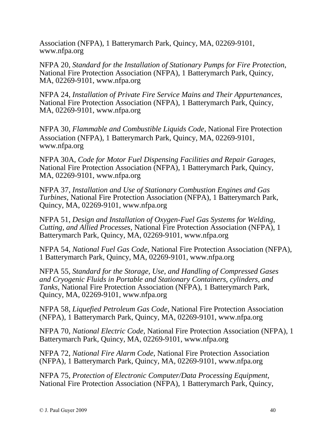Association (NFPA), <sup>1</sup> Batterymarch Park, Quincy, MA, 02269-9101, [www.nfpa.org](http://www.nfpa.org)

NFPA 20, *Standard for the Installation of Stationary Pumps for Fire Protection*, National Fire Protection Association (NFPA), <sup>1</sup> Batterymarch Park, Quincy, MA, 02269-9101, [www.nfpa.org](http://www.nfpa.org)

NFPA 24, *Installation of Private Fire Service Mains and Their Appurtenances*, National Fire Protection Association (NFPA), <sup>1</sup> Batterymarch Park, Quincy, MA, 02269-9101, [www.nfpa.org](http://www.nfpa.org)

NFPA 30, *Flammable and Combustible Liquids Code*, National Fire Protection Association (NFPA), 1 Batterymarch Park, Quincy, MA, 02269-9101, [www.nfpa.org](http://www.nfpa.org)

NFPA 30A, *Code for Motor Fuel Dispensing Facilities and Repair Garages*, National Fire Protection Association (NFPA), 1 Batterymarch Park, Quincy, MA, 02269-9101, [www.nfpa.org](http://www.nfpa.org)

NFPA 37, *Installation and Use of Stationary Combustion Engines and Gas Turbines*, National Fire Protection Association (NFPA), 1 Batterymarch Park, Quincy, MA, 02269-9101, [www.nfpa.org](http://www.nfpa.org)

NFPA 51, *Design and Installation of Oxygen-Fuel Gas Systems for Welding, Cutting, and Allied Processes*, National Fire Protection Association (NFPA), 1 Batterymarch Park, Quincy, MA, 02269-9101, [www.nfpa.org](http://www.nfpa.org)

NFPA 54, *National Fuel Gas Code*, National Fire Protection Association (NFPA), 1 Batterymarch Park, Quincy, MA, 02269-9101, [www.nfpa.org](http://www.nfpa.org)

NFPA 55, *Standard for the Storage, Use, and Handling of Compressed Gases and Cryogenic Fluids in Portable and Stationary Containers, cylinders, and Tanks*, National Fire Protection Association (NFPA), <sup>1</sup> Batterymarch Park, Quincy, MA, 02269-9101, [www.nfpa.org](http://www.nfpa.org)

NFPA 58, *Liquefied Petroleum Gas Code*, National Fire Protection Association (NFPA), 1 Batterymarch Park, Quincy, MA, 02269-9101, [www.nfpa.org](http://www.nfpa.org)

NFPA 70, *National Electric Code*, National Fire Protection Association (NFPA), 1 Batterymarch Park, Quincy, MA, 02269-9101, [www.nfpa.org](http://www.nfpa.org)

NFPA 72, *National Fire Alarm Code*, National Fire Protection Association (NFPA), 1 Batterymarch Park, Quincy, MA, 02269-9101, [www.nfpa.org](http://www.nfpa.org)

NFPA 75, *Protection of Electronic Computer/Data Processing Equipment*, National Fire Protection Association (NFPA), 1 Batterymarch Park, Quincy,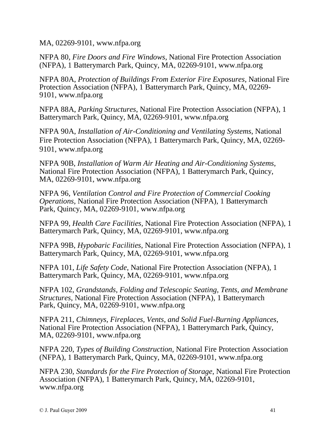MA, 02269-9101, [www.nfpa.org](http://www.nfpa.org)

NFPA 80, *Fire Doors and Fire Windows*, National Fire Protection Association (NFPA), 1 Batterymarch Park, Quincy, MA, 02269-9101, [www.nfpa.org](http://www.nfpa.org)

NFPA 80A, *Protection of Buildings From Exterior Fire Exposures*, National Fire Protection Association (NFPA), 1 Batterymarch Park, Quincy, MA, 02269- 9101, [www.nfpa.org](http://www.nfpa.org)

NFPA 88A, *Parking Structures*, National Fire Protection Association (NFPA), 1 Batterymarch Park, Quincy, MA, 02269-9101, [www.nfpa.org](http://www.nfpa.org)

NFPA 90A, *Installation of Air-Conditioning and Ventilating Systems*, National Fire Protection Association (NFPA), 1 Batterymarch Park, Quincy, MA, 02269- 9101, [www.nfpa.org](http://www.nfpa.org)

NFPA 90B, *Installation of Warm Air Heating and Air-Conditioning Systems*, National Fire Protection Association (NFPA), 1 Batterymarch Park, Quincy, MA, 02269-9101, [www.nfpa.org](http://www.nfpa.org)

NFPA 96, *Ventilation Control and Fire Protection of Commercial Cooking Operations*, National Fire Protection Association (NFPA), 1 Batterymarch Park, Quincy, MA, 02269-9101, [www.nfpa.org](http://www.nfpa.org)

NFPA 99, *Health Care Facilities*, National Fire Protection Association (NFPA), 1 Batterymarch Park, Quincy, MA, 02269-9101, [www.nfpa.org](http://www.nfpa.org)

NFPA 99B, *Hypobaric Facilities*, National Fire Protection Association (NFPA), 1 Batterymarch Park, Quincy, MA, 02269-9101, [www.nfpa.org](http://www.nfpa.org)

NFPA 101, *Life Safety Code*, National Fire Protection Association (NFPA), 1 Batterymarch Park, Quincy, MA, 02269-9101, [www.nfpa.org](http://www.nfpa.org)

NFPA 102, *Grandstands, Folding and Telescopic Seating, Tents, and Membrane Structures*, National Fire Protection Association (NFPA), 1 Batterymarch Park, Quincy, MA, 02269-9101, [www.nfpa.org](http://www.nfpa.org)

NFPA 211, *Chimneys, Fireplaces, Vents, and Solid Fuel-Burning Appliances*, National Fire Protection Association (NFPA), <sup>1</sup> Batterymarch Park, Quincy, MA, 02269-9101, [www.nfpa.org](http://www.nfpa.org)

NFPA 220, *Types of Building Construction*, National Fire Protection Association (NFPA), 1 Batterymarch Park, Quincy, MA, 02269-9101, [www.nfpa.org](http://www.nfpa.org)

NFPA 230, *Standards for the Fire Protection of Storage*, National Fire Protection Association (NFPA), 1 Batterymarch Park, Quincy, MA, 02269-9101, [www.nfpa.org](http://www.nfpa.org)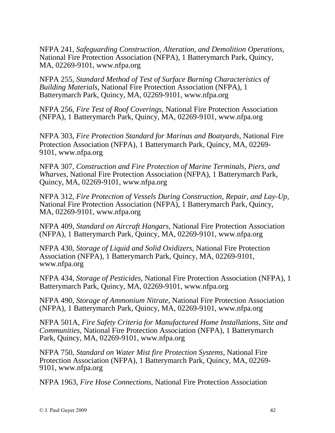NFPA 241, *Safeguarding Construction, Alteration, and Demolition Operations*, National Fire Protection Association (NFPA), 1 Batterymarch Park, Quincy, MA, 02269-9101, [www.nfpa.org](http://www.nfpa.org)

NFPA 255, *Standard Method of Test of Surface Burning Characteristics of Building Materials*, National Fire Protection Association (NFPA), 1 Batterymarch Park, Quincy, MA, 02269-9101, [www.nfpa.org](http://www.nfpa.org)

NFPA 256, *Fire Test of Roof Coverings*, National Fire Protection Association (NFPA), 1 Batterymarch Park, Quincy, MA, 02269-9101, [www.nfpa.org](http://www.nfpa.org)

NFPA 303, *Fire Protection Standard for Marinas and Boatyards*, National Fire Protection Association (NFPA), 1 Batterymarch Park, Quincy, MA, 02269- 9101, [www.nfpa.org](http://www.nfpa.org)

NFPA 307, *Construction and Fire Protection of Marine Terminals, Piers, and Wharves*, National Fire Protection Association (NFPA), 1 Batterymarch Park, Quincy, MA, 02269-9101, [www.nfpa.org](http://www.nfpa.org)

NFPA 312, *Fire Protection of Vessels During Construction, Repair, and Lay-Up*, National Fire Protection Association (NFPA), 1 Batterymarch Park, Quincy, MA, 02269-9101, [www.nfpa.org](http://www.nfpa.org)

NFPA 409, *Standard on Aircraft Hangars*, National Fire Protection Association (NFPA), 1 Batterymarch Park, Quincy, MA, 02269-9101, [www.nfpa.org](http://www.nfpa.org)

NFPA 430, *Storage of Liquid and Solid Oxidizers*, National Fire Protection Association (NFPA), <sup>1</sup> Batterymarch Park, Quincy, MA, 02269-9101, [www.nfpa.org](http://www.nfpa.org)

NFPA 434, *Storage of Pesticides*, National Fire Protection Association (NFPA), 1 Batterymarch Park, Quincy, MA, 02269-9101, [www.nfpa.org](http://www.nfpa.org)

NFPA 490, *Storage of Ammonium Nitrate*, National Fire Protection Association (NFPA), 1 Batterymarch Park, Quincy, MA, 02269-9101, [www.nfpa.org](http://www.nfpa.org)

NFPA 501A, *Fire Safety Criteria for Manufactured Home Installations, Site and Communities*, National Fire Protection Association (NFPA), 1 Batterymarch Park, Quincy, MA, 02269-9101, [www.nfpa.org](http://www.nfpa.org)

NFPA 750, *Standard on Water Mist fire Protection Systems*, National Fire Protection Association (NFPA), <sup>1</sup> Batterymarch Park, Quincy, MA, 02269- 9101, [www.nfpa.org](http://www.nfpa.org)

NFPA 1963, *Fire Hose Connections*, National Fire Protection Association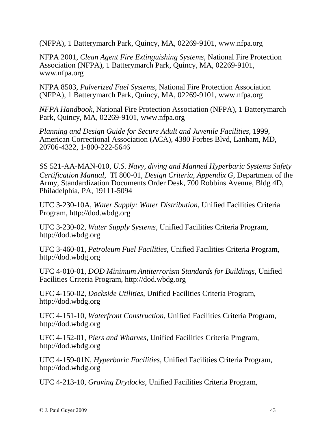(NFPA), 1 Batterymarch Park, Quincy, MA, 02269-9101, [www.nfpa.org](http://www.nfpa.org)

NFPA 2001, *Clean Agent Fire Extinguishing Systems*, National Fire Protection Association (NFPA), 1 Batterymarch Park, Quincy, MA, 02269-9101, [www.nfpa.org](http://www.nfpa.org)

NFPA 8503, *Pulverized Fuel Systems*, National Fire Protection Association (NFPA), 1 Batterymarch Park, Quincy, MA, 02269-9101, [www.nfpa.org](http://www.nfpa.org)

*NFPA Handbook*, National Fire Protection Association (NFPA), 1 Batterymarch Park, Quincy, MA, 02269-9101, [www.nfpa.org](http://www.nfpa.org)

*Planning and Design Guide for Secure Adult and Juvenile Facilities*, 1999, American Correctional Association (ACA), 4380 Forbes Blvd, Lanham, MD, 20706-4322, 1-800-222-5646

SS 521-AA-MAN-010, *U.S. Navy, diving and Manned Hyperbaric Systems Safety Certification Manual*, TI 800-01, *Design Criteria, Appendix G*, Department of the Army, Standardization Documents Order Desk, 700 Robbins Avenue, Bldg 4D, Philadelphia, PA, 19111-5094

UFC 3-230-10A, *Water Supply: Water Distribution*, Unified Facilities Criteria Program, <http://dod.wbdg.org>

UFC 3-230-02, *Water Supply Systems*, Unified Facilities Criteria Program, <http://dod.wbdg.org>

UFC 3-460-01, *Petroleum Fuel Facilities*, Unified Facilities Criteria Program, <http://dod.wbdg.org>

UFC 4-010-01, *DOD Minimum Antiterrorism Standards for Buildings*, Unified Facilities Criteria Program, <http://dod.wbdg.org>

UFC 4-150-02, *Dockside Utilities*, Unified Facilities Criteria Program, <http://dod.wbdg.org>

UFC 4-151-10, *Waterfront Construction*, Unified Facilities Criteria Program, <http://dod.wbdg.org>

UFC 4-152-01, *Piers and Wharves*, Unified Facilities Criteria Program, <http://dod.wbdg.org>

UFC 4-159-01N, *Hyperbaric Facilities*, Unified Facilities Criteria Program, <http://dod.wbdg.org>

UFC 4-213-10, *Graving Drydocks*, Unified Facilities Criteria Program,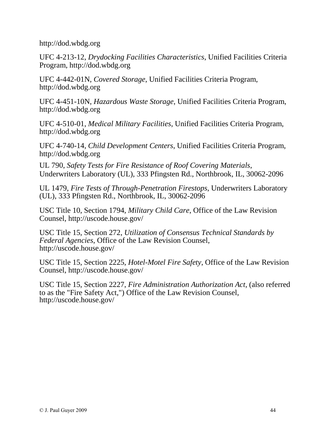<http://dod.wbdg.org>

UFC 4-213-12, *Drydocking Facilities Characteristics*, Unified Facilities Criteria Program, <http://dod.wbdg.org>

UFC 4-442-01N, *Covered Storage*, Unified Facilities Criteria Program, <http://dod.wbdg.org>

UFC 4-451-10N, *Hazardous Waste Storage*, Unified Facilities Criteria Program, <http://dod.wbdg.org>

UFC 4-510-01, *Medical Military Facilities*, Unified Facilities Criteria Program, <http://dod.wbdg.org>

UFC 4-740-14, *Child Development Centers*, Unified Facilities Criteria Program, <http://dod.wbdg.org>

UL 790, *Safety Tests for Fire Resistance of Roof Covering Materials*, Underwriters Laboratory (UL), 333 Pfingsten Rd., Northbrook, IL, 30062-2096

UL 1479, *Fire Tests of Through-Penetration Firestops*, Underwriters Laboratory (UL), 333 Pfingsten Rd., Northbrook, IL, 30062-2096

USC Title 10, Section 1794, *Military Child Care*, Office of the Law Revision Counsel, <http://uscode.house.gov/>

USC Title 15, Section 272, *Utilization of Consensus Technical Standards by Federal Agencies*, Office of the Law Revision Counsel, <http://uscode.house.gov/>

USC Title 15, Section 2225, *Hotel-Motel Fire Safety*, Office of the Law Revision Counsel, <http://uscode.house.gov/>

USC Title 15, Section 2227, *Fire Administration Authorization Act,*(also referred to as the "Fire Safety Act,") Office of the Law Revision Counsel, <http://uscode.house.gov/>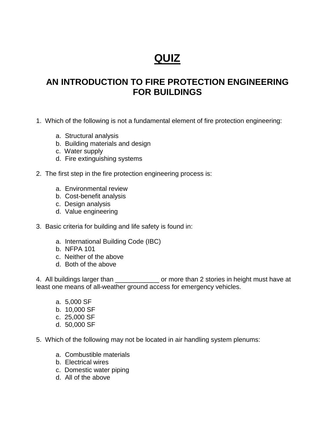# **QUIZ**

# **AN INTRODUCTION TO FIRE PROTECTION ENGINEERING FOR BUILDINGS**

- 1. Which of the following is not a fundamental element of fire protection engineering:
	- a. Structural analysis
	- b. Building materials and design
	- c. Water supply
	- d. Fire extinguishing systems
- 2. The first step in the fire protection engineering process is:
	- a. Environmental review
	- b. Cost-benefit analysis
	- c. Design analysis
	- d. Value engineering
- 3. Basic criteria for building and life safety is found in:
	- a. International Building Code (IBC)
	- b. NFPA 101
	- c. Neither of the above
	- d. Both of the above

4. All buildings larger than \_\_\_\_\_\_\_\_\_\_\_\_\_\_ or more than 2 stories in height must have at least one means of all-weather ground access for emergency vehicles.

- a. 5,000 SF
- b. 10,000 SF
- c. 25,000 SF
- d. 50,000 SF
- 5. Which of the following may not be located in air handling system plenums:
	- a. Combustible materials
	- b. Electrical wires
	- c. Domestic water piping
	- d. All of the above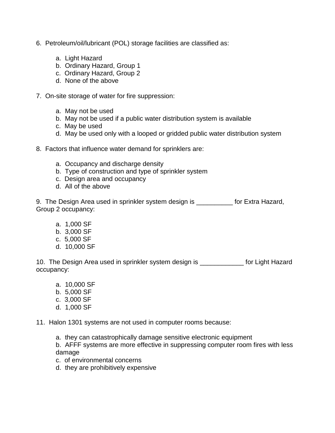- 6. Petroleum/oil/lubricant (POL) storage facilities are classified as:
	- a. Light Hazard
	- b. Ordinary Hazard, Group 1
	- c. Ordinary Hazard, Group 2
	- d. None of the above
- 7. On-site storage of water for fire suppression:
	- a. May not be used
	- b. May not be used if a public water distribution system is available
	- c. May be used
	- d. May be used only with a looped or gridded public water distribution system
- 8. Factors that influence water demand for sprinklers are:
	- a. Occupancy and discharge density
	- b. Type of construction and type of sprinkler system
	- c. Design area and occupancy
	- d. All of the above

9. The Design Area used in sprinkler system design is \_\_\_\_\_\_\_\_\_\_ for Extra Hazard, Group 2 occupancy:

- a. 1,000 SF
- b. 3,000 SF
- c. 5,000 SF
- d. 10,000 SF

10. The Design Area used in sprinkler system design is **the State State State India** for Light Hazard occupancy:

- a. 10,000 SF
- b. 5,000 SF
- c. 3,000 SF
- d. 1,000 SF

11. Halon 1301 systems are not used in computer rooms because:

a. they can catastrophically damage sensitive electronic equipment

b. AFFF systems are more effective in suppressing computer room fires with less damage

- c. of environmental concerns
- d. they are prohibitively expensive